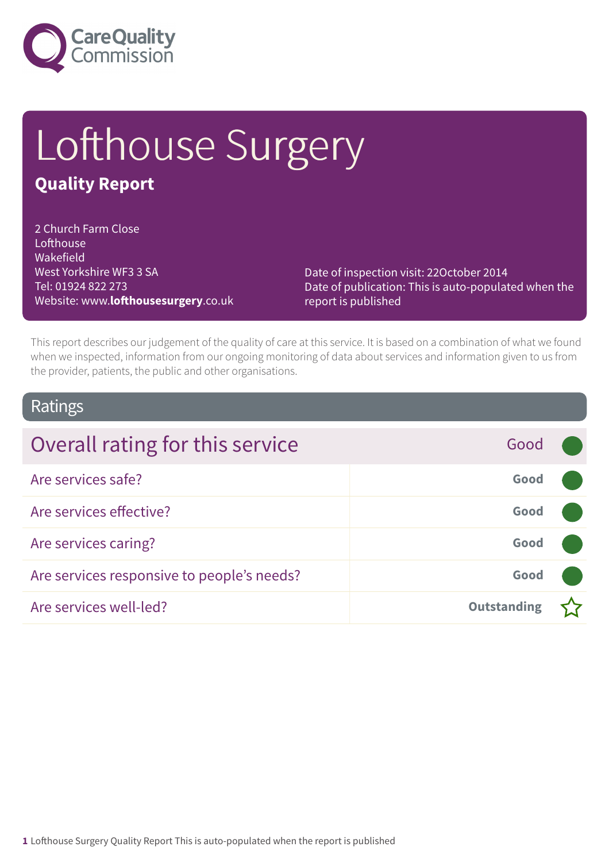

# Lofthouse Surgery

### **Quality Report**

2 Church Farm Close **Lofthouse** Wakefield West Yorkshire WF3 3 SA Tel: 01924 822 273 Website: www.**lofthousesurgery**.co.uk

Date of inspection visit: 22October 2014 Date of publication: This is auto-populated when the report is published

This report describes our judgement of the quality of care at this service. It is based on a combination of what we found when we inspected, information from our ongoing monitoring of data about services and information given to us from the provider, patients, the public and other organisations.

### Ratings

| Overall rating for this service            | Good               |  |
|--------------------------------------------|--------------------|--|
| Are services safe?                         | Good               |  |
| Are services effective?                    | Good               |  |
| Are services caring?                       | Good               |  |
| Are services responsive to people's needs? | Good               |  |
| Are services well-led?                     | <b>Outstanding</b> |  |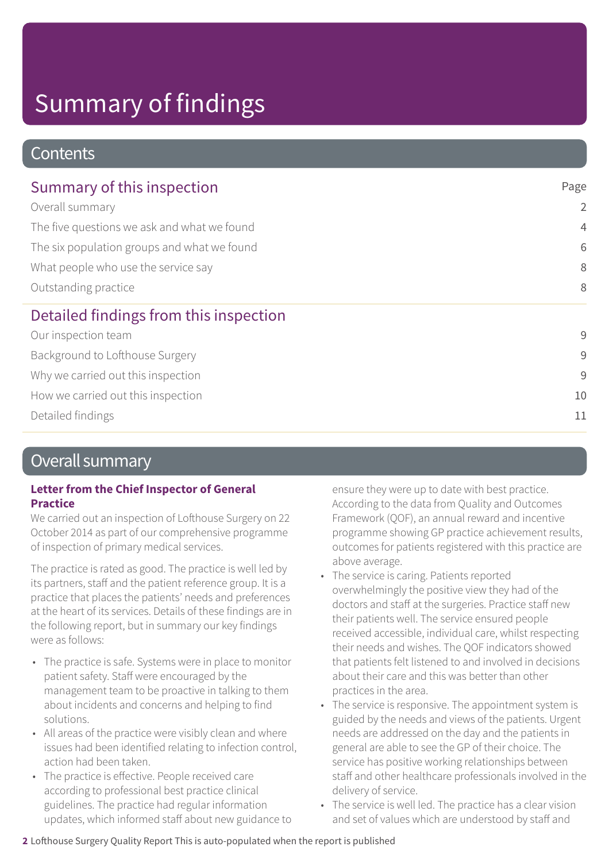# Summary of findings

### **Contents**

| Summary of this inspection                                                                                                                                                   | Page           |
|------------------------------------------------------------------------------------------------------------------------------------------------------------------------------|----------------|
| Overall summary<br>The five questions we ask and what we found<br>The six population groups and what we found<br>What people who use the service say<br>Outstanding practice | $\overline{2}$ |
|                                                                                                                                                                              | $\overline{4}$ |
|                                                                                                                                                                              | 6              |
|                                                                                                                                                                              | 8              |
|                                                                                                                                                                              | 8              |
| Detailed findings from this inspection                                                                                                                                       |                |
| Our inspection team                                                                                                                                                          | 9              |
| Background to Lofthouse Surgery                                                                                                                                              | 9              |
| Why we carried out this inspection                                                                                                                                           | 9              |
| How we carried out this inspection                                                                                                                                           | 10             |
| Detailed findings                                                                                                                                                            | 11             |

### Overall summary

#### **Letter from the Chief Inspector of General Practice**

We carried out an inspection of Lofthouse Surgery on 22 October 2014 as part of our comprehensive programme of inspection of primary medical services.

The practice is rated as good. The practice is well led by its partners, staff and the patient reference group. It is a practice that places the patients' needs and preferences at the heart of its services. Details of these findings are in the following report, but in summary our key findings were as follows:

- The practice is safe. Systems were in place to monitor patient safety. Staff were encouraged by the management team to be proactive in talking to them about incidents and concerns and helping to find solutions.
- All areas of the practice were visibly clean and where issues had been identified relating to infection control, action had been taken.
- The practice is effective. People received care according to professional best practice clinical guidelines. The practice had regular information updates, which informed staff about new guidance to

ensure they were up to date with best practice. According to the data from Quality and Outcomes Framework (QOF), an annual reward and incentive programme showing GP practice achievement results, outcomes for patients registered with this practice are above average.

- The service is caring. Patients reported overwhelmingly the positive view they had of the doctors and staff at the surgeries. Practice staff new their patients well. The service ensured people received accessible, individual care, whilst respecting their needs and wishes. The QOF indicators showed that patients felt listened to and involved in decisions about their care and this was better than other practices in the area.
- The service is responsive. The appointment system is guided by the needs and views of the patients. Urgent needs are addressed on the day and the patients in general are able to see the GP of their choice. The service has positive working relationships between staff and other healthcare professionals involved in the delivery of service.
- The service is well led. The practice has a clear vision and set of values which are understood by staff and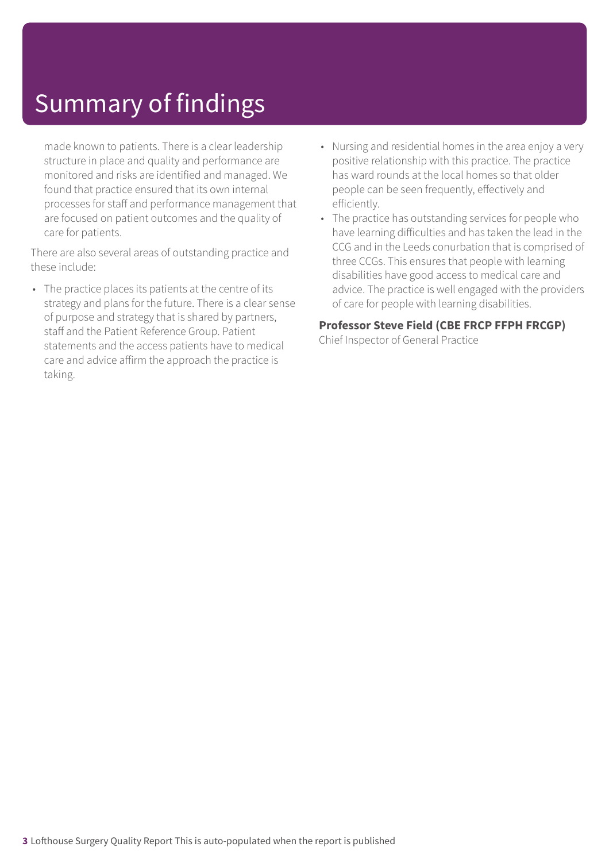# Summary of findings

made known to patients. There is a clear leadership structure in place and quality and performance are monitored and risks are identified and managed. We found that practice ensured that its own internal processes for staff and performance management that are focused on patient outcomes and the quality of care for patients.

There are also several areas of outstanding practice and these include:

- The practice places its patients at the centre of its strategy and plans for the future. There is a clear sense of purpose and strategy that is shared by partners, staff and the Patient Reference Group. Patient statements and the access patients have to medical care and advice affirm the approach the practice is taking.
- Nursing and residential homes in the area enjoy a very positive relationship with this practice. The practice has ward rounds at the local homes so that older people can be seen frequently, effectively and efficiently.
- The practice has outstanding services for people who have learning difficulties and has taken the lead in the CCG and in the Leeds conurbation that is comprised of three CCGs. This ensures that people with learning disabilities have good access to medical care and advice. The practice is well engaged with the providers of care for people with learning disabilities.

#### **Professor Steve Field (CBE FRCP FFPH FRCGP)**

Chief Inspector of General Practice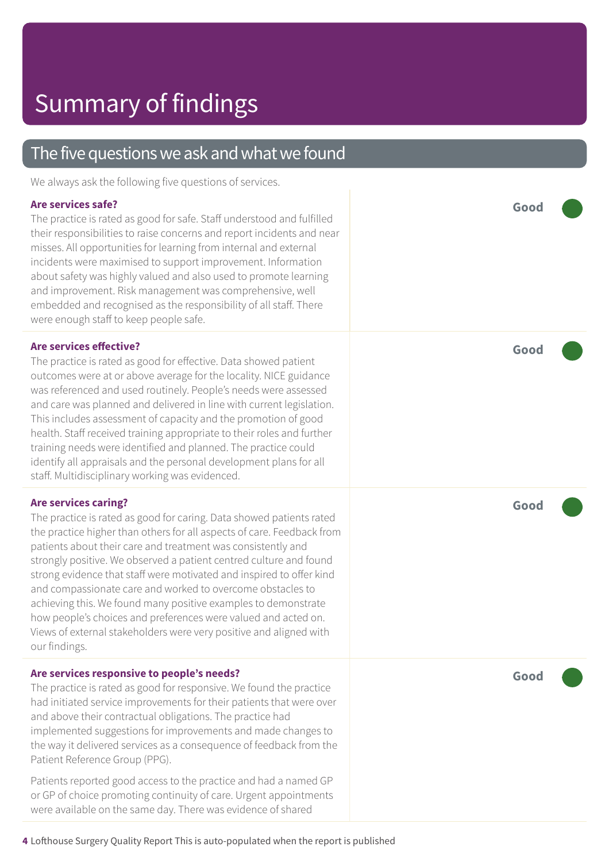### The five questions we ask and what we found

We always ask the following five questions of services.

#### **Are services safe?**

The practice is rated as good for safe. Staff understood and fulfilled their responsibilities to raise concerns and report incidents and near misses. All opportunities for learning from internal and external incidents were maximised to support improvement. Information about safety was highly valued and also used to promote learning and improvement. Risk management was comprehensive, well embedded and recognised as the responsibility of all staff. There were enough staff to keep people safe.

#### **Are services effective?**

The practice is rated as good for effective. Data showed patient outcomes were at or above average for the locality. NICE guidance was referenced and used routinely. People's needs were assessed and care was planned and delivered in line with current legislation. This includes assessment of capacity and the promotion of good health. Staff received training appropriate to their roles and further training needs were identified and planned. The practice could identify all appraisals and the personal development plans for all staff. Multidisciplinary working was evidenced.

#### **Are services caring?**

The practice is rated as good for caring. Data showed patients rated the practice higher than others for all aspects of care. Feedback from patients about their care and treatment was consistently and strongly positive. We observed a patient centred culture and found strong evidence that staff were motivated and inspired to offer kind and compassionate care and worked to overcome obstacles to achieving this. We found many positive examples to demonstrate how people's choices and preferences were valued and acted on. Views of external stakeholders were very positive and aligned with our findings.

#### **Are services responsive to people's needs?**

The practice is rated as good for responsive. We found the practice had initiated service improvements for their patients that were over and above their contractual obligations. The practice had implemented suggestions for improvements and made changes to the way it delivered services as a consequence of feedback from the Patient Reference Group (PPG).

Patients reported good access to the practice and had a named GP or GP of choice promoting continuity of care. Urgent appointments were available on the same day. There was evidence of shared

**Good –––**

**Good –––**

**Good –––**

**Good –––**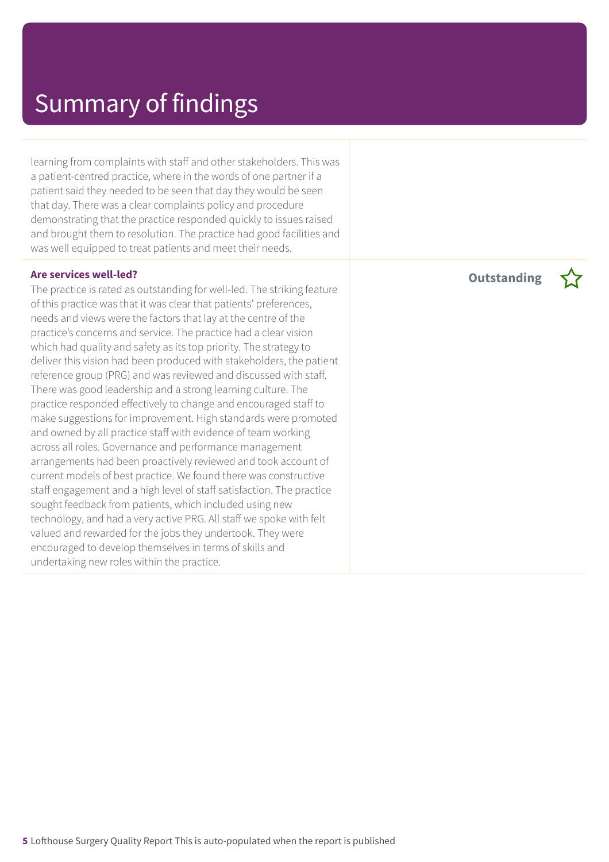learning from complaints with staff and other stakeholders. This was a patient-centred practice, where in the words of one partner if a patient said they needed to be seen that day they would be seen that day. There was a clear complaints policy and procedure demonstrating that the practice responded quickly to issues raised and brought them to resolution. The practice had good facilities and was well equipped to treat patients and meet their needs.

#### **Are services well-led?**

The practice is rated as outstanding for well-led. The striking feature of this practice was that it was clear that patients' preferences, needs and views were the factors that lay at the centre of the practice's concerns and service. The practice had a clear vision which had quality and safety as its top priority. The strategy to deliver this vision had been produced with stakeholders, the patient reference group (PRG) and was reviewed and discussed with staff. There was good leadership and a strong learning culture. The practice responded effectively to change and encouraged staff to make suggestions for improvement. High standards were promoted and owned by all practice staff with evidence of team working across all roles. Governance and performance management arrangements had been proactively reviewed and took account of current models of best practice. We found there was constructive staff engagement and a high level of staff satisfaction. The practice sought feedback from patients, which included using new technology, and had a very active PRG. All staff we spoke with felt valued and rewarded for the jobs they undertook. They were encouraged to develop themselves in terms of skills and undertaking new roles within the practice.

**Outstanding –**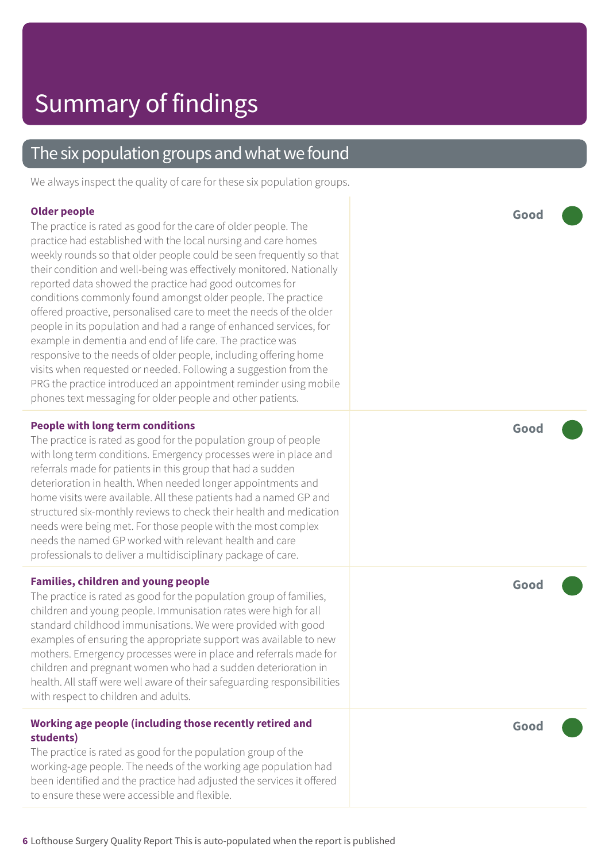### The six population groups and what we found

We always inspect the quality of care for these six population groups.

#### **Older people**

The practice is rated as good for the care of older people. The practice had established with the local nursing and care homes weekly rounds so that older people could be seen frequently so that their condition and well-being was effectively monitored. Nationally reported data showed the practice had good outcomes for conditions commonly found amongst older people. The practice offered proactive, personalised care to meet the needs of the older people in its population and had a range of enhanced services, for example in dementia and end of life care. The practice was responsive to the needs of older people, including offering home visits when requested or needed. Following a suggestion from the PRG the practice introduced an appointment reminder using mobile phones text messaging for older people and other patients.

#### **People with long term conditions**

The practice is rated as good for the population group of people with long term conditions. Emergency processes were in place and referrals made for patients in this group that had a sudden deterioration in health. When needed longer appointments and home visits were available. All these patients had a named GP and structured six-monthly reviews to check their health and medication needs were being met. For those people with the most complex needs the named GP worked with relevant health and care professionals to deliver a multidisciplinary package of care.

#### **Families, children and young people**

The practice is rated as good for the population group of families, children and young people. Immunisation rates were high for all standard childhood immunisations. We were provided with good examples of ensuring the appropriate support was available to new mothers. Emergency processes were in place and referrals made for children and pregnant women who had a sudden deterioration in health. All staff were well aware of their safeguarding responsibilities with respect to children and adults.

#### **Working age people (including those recently retired and students)**

The practice is rated as good for the population group of the working-age people. The needs of the working age population had been identified and the practice had adjusted the services it offered to ensure these were accessible and flexible.

**Good –––**

**Good –––**

**Good –––**

**Good –––**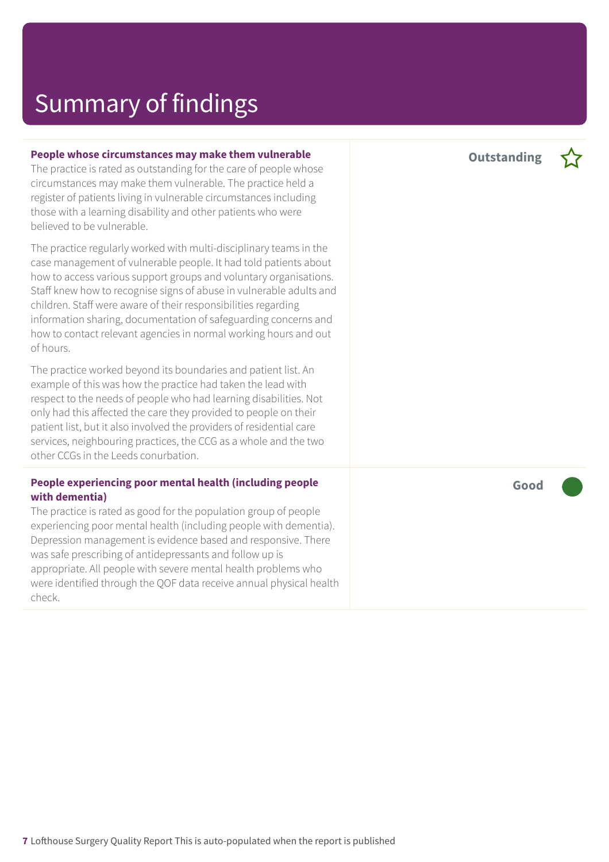### Summary of findings

#### **People whose circumstances may make them vulnerable**

The practice is rated as outstanding for the care of people whose circumstances may make them vulnerable. The practice held a register of patients living in vulnerable circumstances including those with a learning disability and other patients who were believed to be vulnerable.

The practice regularly worked with multi-disciplinary teams in the case management of vulnerable people. It had told patients about how to access various support groups and voluntary organisations. Staff knew how to recognise signs of abuse in vulnerable adults and children. Staff were aware of their responsibilities regarding information sharing, documentation of safeguarding concerns and how to contact relevant agencies in normal working hours and out of hours.

The practice worked beyond its boundaries and patient list. An example of this was how the practice had taken the lead with respect to the needs of people who had learning disabilities. Not only had this affected the care they provided to people on their patient list, but it also involved the providers of residential care services, neighbouring practices, the CCG as a whole and the two other CCGs in the Leeds conurbation.

#### **People experiencing poor mental health (including people with dementia)**

The practice is rated as good for the population group of people experiencing poor mental health (including people with dementia). Depression management is evidence based and responsive. There was safe prescribing of antidepressants and follow up is appropriate. All people with severe mental health problems who were identified through the QOF data receive annual physical health check.

**Outstanding –**

**Good –––**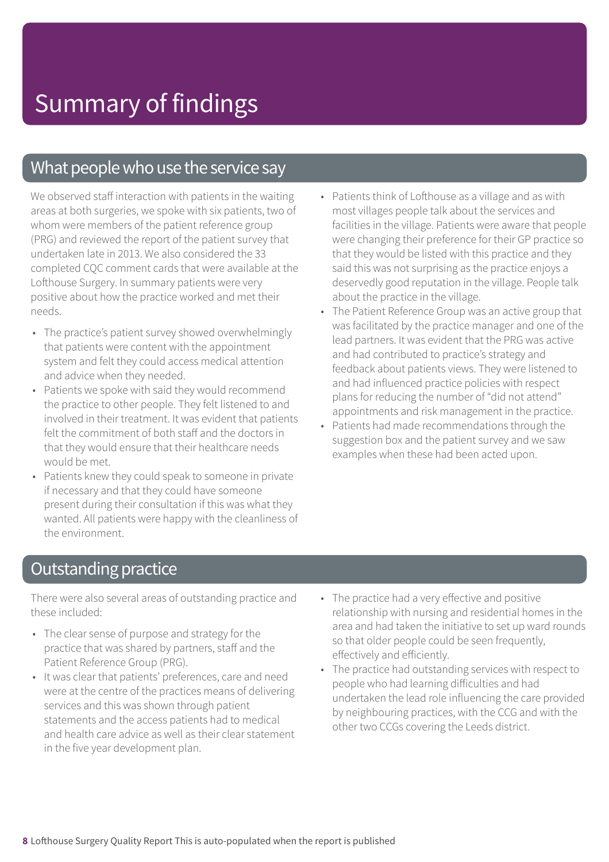### What people who use the service say

We observed staff interaction with patients in the waiting areas at both surgeries, we spoke with six patients, two of whom were members of the patient reference group (PRG) and reviewed the report of the patient survey that undertaken late in 2013. We also considered the 33 completed CQC comment cards that were available at the Lofthouse Surgery. In summary patients were very positive about how the practice worked and met their needs.

- The practice's patient survey showed overwhelmingly that patients were content with the appointment system and felt they could access medical attention and advice when they needed.
- Patients we spoke with said they would recommend the practice to other people. They felt listened to and involved in their treatment. It was evident that patients felt the commitment of both staff and the doctors in that they would ensure that their healthcare needs would be met.
- Patients knew they could speak to someone in private if necessary and that they could have someone present during their consultation if this was what they wanted. All patients were happy with the cleanliness of the environment.
- Patients think of Lofthouse as a village and as with most villages people talk about the services and facilities in the village. Patients were aware that people were changing their preference for their GP practice so that they would be listed with this practice and they said this was not surprising as the practice enjoys a deservedly good reputation in the village. People talk about the practice in the village.
- The Patient Reference Group was an active group that was facilitated by the practice manager and one of the lead partners. It was evident that the PRG was active and had contributed to practice's strategy and feedback about patients views. They were listened to and had influenced practice policies with respect plans for reducing the number of "did not attend" appointments and risk management in the practice.
- Patients had made recommendations through the suggestion box and the patient survey and we saw examples when these had been acted upon.

### **Outstanding practice**

There were also several areas of outstanding practice and these included:

- The clear sense of purpose and strategy for the practice that was shared by partners, staff and the Patient Reference Group (PRG).
- It was clear that patients' preferences, care and need were at the centre of the practices means of delivering services and this was shown through patient statements and the access patients had to medical and health care advice as well as their clear statement in the five year development plan.
- The practice had a very effective and positive relationship with nursing and residential homes in the area and had taken the initiative to set up ward rounds so that older people could be seen frequently, effectively and efficiently.
- The practice had outstanding services with respect to people who had learning difficulties and had undertaken the lead role influencing the care provided by neighbouring practices, with the CCG and with the other two CCGs covering the Leeds district.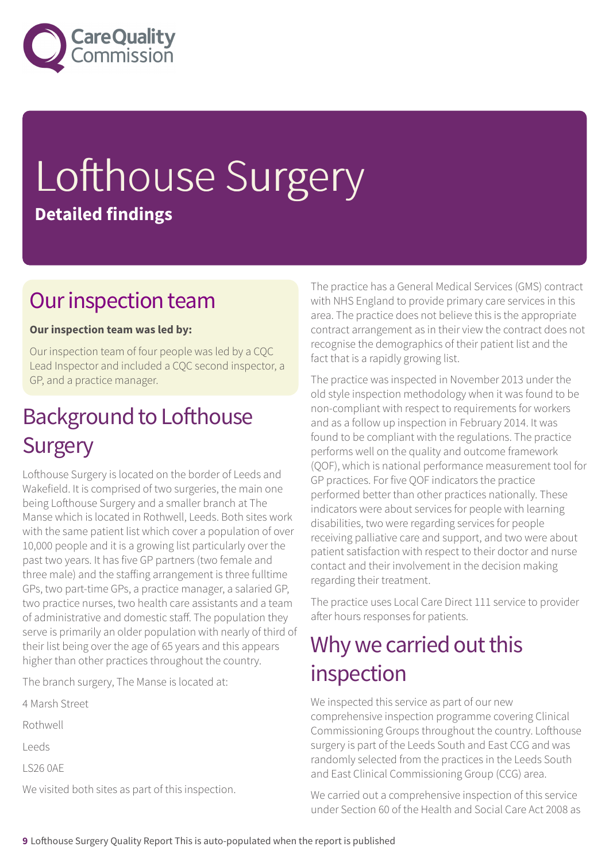

# Lofthouse Surgery **Detailed findings**

### Our inspection team

#### **Our inspection team was led by:**

Our inspection team of four people was led by a CQC Lead Inspector and included a CQC second inspector, a GP, and a practice manager.

### **Background to Lofthouse Surgery**

Lofthouse Surgery is located on the border of Leeds and Wakefield. It is comprised of two surgeries, the main one being Lofthouse Surgery and a smaller branch at The Manse which is located in Rothwell, Leeds. Both sites work with the same patient list which cover a population of over 10,000 people and it is a growing list particularly over the past two years. It has five GP partners (two female and three male) and the staffing arrangement is three fulltime GPs, two part-time GPs, a practice manager, a salaried GP, two practice nurses, two health care assistants and a team of administrative and domestic staff. The population they serve is primarily an older population with nearly of third of their list being over the age of 65 years and this appears higher than other practices throughout the country.

The branch surgery, The Manse is located at:

4 Marsh Street

Rothwell

Leeds

LS26 0AE

We visited both sites as part of this inspection.

The practice has a General Medical Services (GMS) contract with NHS England to provide primary care services in this area. The practice does not believe this is the appropriate contract arrangement as in their view the contract does not recognise the demographics of their patient list and the fact that is a rapidly growing list.

The practice was inspected in November 2013 under the old style inspection methodology when it was found to be non-compliant with respect to requirements for workers and as a follow up inspection in February 2014. It was found to be compliant with the regulations. The practice performs well on the quality and outcome framework (QOF), which is national performance measurement tool for GP practices. For five QOF indicators the practice performed better than other practices nationally. These indicators were about services for people with learning disabilities, two were regarding services for people receiving palliative care and support, and two were about patient satisfaction with respect to their doctor and nurse contact and their involvement in the decision making regarding their treatment.

The practice uses Local Care Direct 111 service to provider after hours responses for patients.

### Why we carried out this inspection

We inspected this service as part of our new comprehensive inspection programme covering Clinical Commissioning Groups throughout the country. Lofthouse surgery is part of the Leeds South and East CCG and was randomly selected from the practices in the Leeds South and East Clinical Commissioning Group (CCG) area.

We carried out a comprehensive inspection of this service under Section 60 of the Health and Social Care Act 2008 as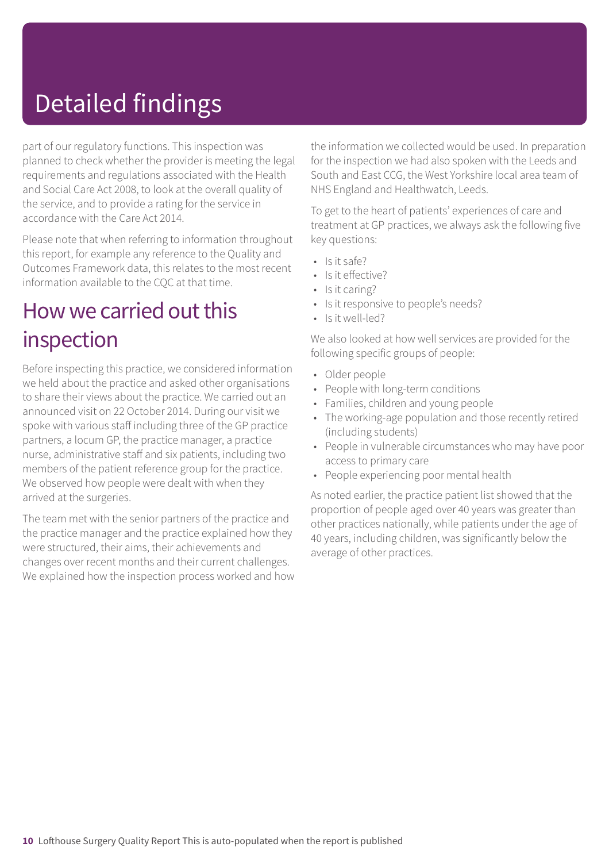# Detailed findings

part of our regulatory functions. This inspection was planned to check whether the provider is meeting the legal requirements and regulations associated with the Health and Social Care Act 2008, to look at the overall quality of the service, and to provide a rating for the service in accordance with the Care Act 2014.

Please note that when referring to information throughout this report, for example any reference to the Quality and Outcomes Framework data, this relates to the most recent information available to the CQC at that time.

### How we carried out this inspection

Before inspecting this practice, we considered information we held about the practice and asked other organisations to share their views about the practice. We carried out an announced visit on 22 October 2014. During our visit we spoke with various staff including three of the GP practice partners, a locum GP, the practice manager, a practice nurse, administrative staff and six patients, including two members of the patient reference group for the practice. We observed how people were dealt with when they arrived at the surgeries.

The team met with the senior partners of the practice and the practice manager and the practice explained how they were structured, their aims, their achievements and changes over recent months and their current challenges. We explained how the inspection process worked and how the information we collected would be used. In preparation for the inspection we had also spoken with the Leeds and South and East CCG, the West Yorkshire local area team of NHS England and Healthwatch, Leeds.

To get to the heart of patients' experiences of care and treatment at GP practices, we always ask the following five key questions:

- Is it safe?
- Is it effective?
- Is it caring?
- Is it responsive to people's needs?
- Is it well-led?

We also looked at how well services are provided for the following specific groups of people:

- Older people
- People with long-term conditions
- Families, children and young people
- The working-age population and those recently retired (including students)
- People in vulnerable circumstances who may have poor access to primary care
- People experiencing poor mental health

As noted earlier, the practice patient list showed that the proportion of people aged over 40 years was greater than other practices nationally, while patients under the age of 40 years, including children, was significantly below the average of other practices.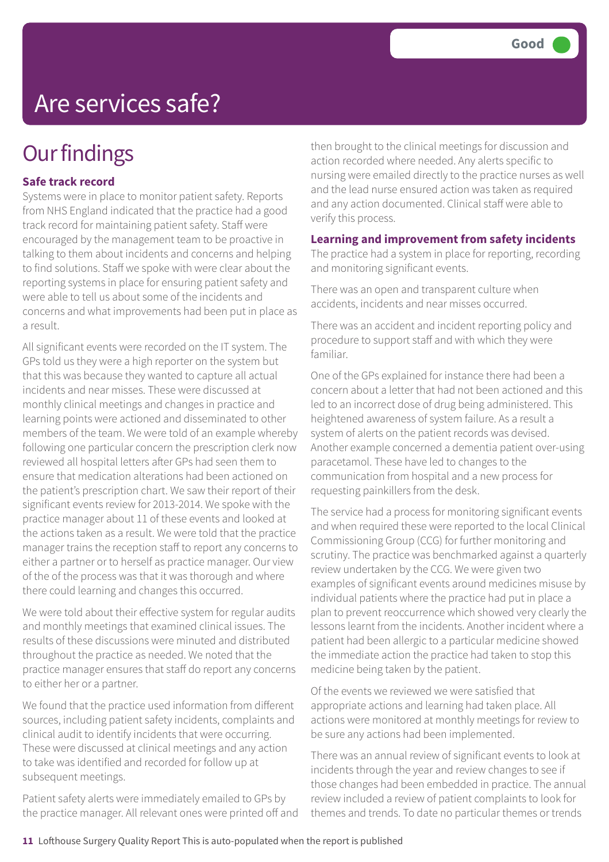## **Our findings**

#### **Safe track record**

Systems were in place to monitor patient safety. Reports from NHS England indicated that the practice had a good track record for maintaining patient safety. Staff were encouraged by the management team to be proactive in talking to them about incidents and concerns and helping to find solutions. Staff we spoke with were clear about the reporting systems in place for ensuring patient safety and were able to tell us about some of the incidents and concerns and what improvements had been put in place as a result.

All significant events were recorded on the IT system. The GPs told us they were a high reporter on the system but that this was because they wanted to capture all actual incidents and near misses. These were discussed at monthly clinical meetings and changes in practice and learning points were actioned and disseminated to other members of the team. We were told of an example whereby following one particular concern the prescription clerk now reviewed all hospital letters after GPs had seen them to ensure that medication alterations had been actioned on the patient's prescription chart. We saw their report of their significant events review for 2013-2014. We spoke with the practice manager about 11 of these events and looked at the actions taken as a result. We were told that the practice manager trains the reception staff to report any concerns to either a partner or to herself as practice manager. Our view of the of the process was that it was thorough and where there could learning and changes this occurred.

We were told about their effective system for regular audits and monthly meetings that examined clinical issues. The results of these discussions were minuted and distributed throughout the practice as needed. We noted that the practice manager ensures that staff do report any concerns to either her or a partner.

We found that the practice used information from different sources, including patient safety incidents, complaints and clinical audit to identify incidents that were occurring. These were discussed at clinical meetings and any action to take was identified and recorded for follow up at subsequent meetings.

Patient safety alerts were immediately emailed to GPs by the practice manager. All relevant ones were printed off and

then brought to the clinical meetings for discussion and action recorded where needed. Any alerts specific to nursing were emailed directly to the practice nurses as well and the lead nurse ensured action was taken as required and any action documented. Clinical staff were able to verify this process.

#### **Learning and improvement from safety incidents**

The practice had a system in place for reporting, recording and monitoring significant events.

There was an open and transparent culture when accidents, incidents and near misses occurred.

There was an accident and incident reporting policy and procedure to support staff and with which they were familiar.

One of the GPs explained for instance there had been a concern about a letter that had not been actioned and this led to an incorrect dose of drug being administered. This heightened awareness of system failure. As a result a system of alerts on the patient records was devised. Another example concerned a dementia patient over-using paracetamol. These have led to changes to the communication from hospital and a new process for requesting painkillers from the desk.

The service had a process for monitoring significant events and when required these were reported to the local Clinical Commissioning Group (CCG) for further monitoring and scrutiny. The practice was benchmarked against a quarterly review undertaken by the CCG. We were given two examples of significant events around medicines misuse by individual patients where the practice had put in place a plan to prevent reoccurrence which showed very clearly the lessons learnt from the incidents. Another incident where a patient had been allergic to a particular medicine showed the immediate action the practice had taken to stop this medicine being taken by the patient.

Of the events we reviewed we were satisfied that appropriate actions and learning had taken place. All actions were monitored at monthly meetings for review to be sure any actions had been implemented.

There was an annual review of significant events to look at incidents through the year and review changes to see if those changes had been embedded in practice. The annual review included a review of patient complaints to look for themes and trends. To date no particular themes or trends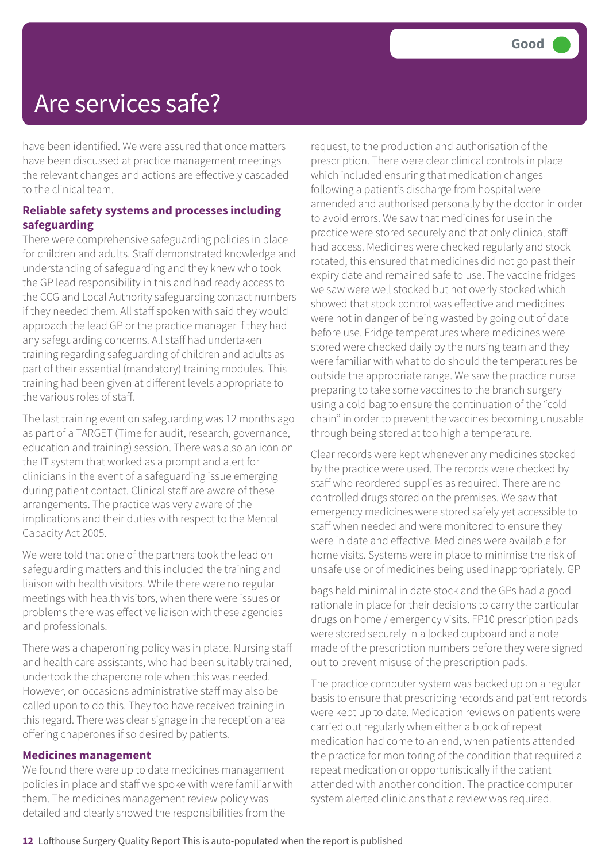have been identified. We were assured that once matters have been discussed at practice management meetings the relevant changes and actions are effectively cascaded to the clinical team.

#### **Reliable safety systems and processes including safeguarding**

There were comprehensive safeguarding policies in place for children and adults. Staff demonstrated knowledge and understanding of safeguarding and they knew who took the GP lead responsibility in this and had ready access to the CCG and Local Authority safeguarding contact numbers if they needed them. All staff spoken with said they would approach the lead GP or the practice manager if they had any safeguarding concerns. All staff had undertaken training regarding safeguarding of children and adults as part of their essential (mandatory) training modules. This training had been given at different levels appropriate to the various roles of staff.

The last training event on safeguarding was 12 months ago as part of a TARGET (Time for audit, research, governance, education and training) session. There was also an icon on the IT system that worked as a prompt and alert for clinicians in the event of a safeguarding issue emerging during patient contact. Clinical staff are aware of these arrangements. The practice was very aware of the implications and their duties with respect to the Mental Capacity Act 2005.

We were told that one of the partners took the lead on safeguarding matters and this included the training and liaison with health visitors. While there were no regular meetings with health visitors, when there were issues or problems there was effective liaison with these agencies and professionals.

There was a chaperoning policy was in place. Nursing staff and health care assistants, who had been suitably trained, undertook the chaperone role when this was needed. However, on occasions administrative staff may also be called upon to do this. They too have received training in this regard. There was clear signage in the reception area offering chaperones if so desired by patients.

#### **Medicines management**

We found there were up to date medicines management policies in place and staff we spoke with were familiar with them. The medicines management review policy was detailed and clearly showed the responsibilities from the

request, to the production and authorisation of the prescription. There were clear clinical controls in place which included ensuring that medication changes following a patient's discharge from hospital were amended and authorised personally by the doctor in order to avoid errors. We saw that medicines for use in the practice were stored securely and that only clinical staff had access. Medicines were checked regularly and stock rotated, this ensured that medicines did not go past their expiry date and remained safe to use. The vaccine fridges we saw were well stocked but not overly stocked which showed that stock control was effective and medicines were not in danger of being wasted by going out of date before use. Fridge temperatures where medicines were stored were checked daily by the nursing team and they were familiar with what to do should the temperatures be outside the appropriate range. We saw the practice nurse preparing to take some vaccines to the branch surgery using a cold bag to ensure the continuation of the "cold chain" in order to prevent the vaccines becoming unusable through being stored at too high a temperature.

Clear records were kept whenever any medicines stocked by the practice were used. The records were checked by staff who reordered supplies as required. There are no controlled drugs stored on the premises. We saw that emergency medicines were stored safely yet accessible to staff when needed and were monitored to ensure they were in date and effective. Medicines were available for home visits. Systems were in place to minimise the risk of unsafe use or of medicines being used inappropriately. GP

bags held minimal in date stock and the GPs had a good rationale in place for their decisions to carry the particular drugs on home / emergency visits. FP10 prescription pads were stored securely in a locked cupboard and a note made of the prescription numbers before they were signed out to prevent misuse of the prescription pads.

The practice computer system was backed up on a regular basis to ensure that prescribing records and patient records were kept up to date. Medication reviews on patients were carried out regularly when either a block of repeat medication had come to an end, when patients attended the practice for monitoring of the condition that required a repeat medication or opportunistically if the patient attended with another condition. The practice computer system alerted clinicians that a review was required.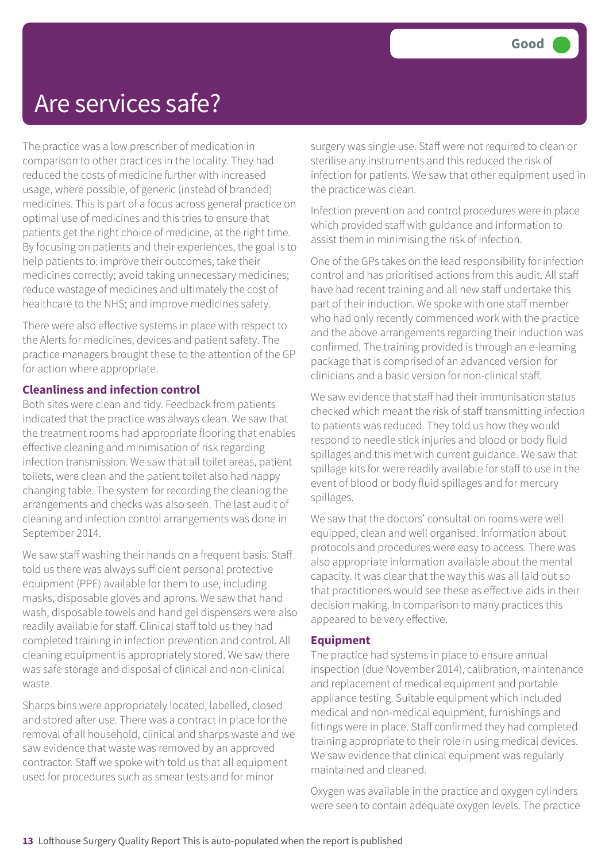The practice was a low prescriber of medication in comparison to other practices in the locality. They had reduced the costs of medicine further with increased usage, where possible, of generic (instead of branded) medicines. This is part of a focus across general practice on optimal use of medicines and this tries to ensure that patients get the right choice of medicine, at the right time. By focusing on patients and their experiences, the goal is to help patients to: improve their outcomes; take their medicines correctly; avoid taking unnecessary medicines; reduce wastage of medicines and ultimately the cost of healthcare to the NHS; and improve medicines safety.

There were also effective systems in place with respect to the Alerts for medicines, devices and patient safety. The practice managers brought these to the attention of the GP for action where appropriate.

#### **Cleanliness and infection control**

Both sites were clean and tidy. Feedback from patients indicated that the practice was always clean. We saw that the treatment rooms had appropriate flooring that enables effective cleaning and minimisation of risk regarding infection transmission. We saw that all toilet areas, patient toilets, were clean and the patient toilet also had nappy changing table. The system for recording the cleaning the arrangements and checks was also seen. The last audit of cleaning and infection control arrangements was done in September 2014.

We saw staff washing their hands on a frequent basis. Staff told us there was always sufficient personal protective equipment (PPE) available for them to use, including masks, disposable gloves and aprons. We saw that hand wash, disposable towels and hand gel dispensers were also readily available for staff. Clinical staff told us they had completed training in infection prevention and control. All cleaning equipment is appropriately stored. We saw there was safe storage and disposal of clinical and non-clinical waste.

Sharps bins were appropriately located, labelled, closed and stored after use. There was a contract in place for the removal of all household, clinical and sharps waste and we saw evidence that waste was removed by an approved contractor. Staff we spoke with told us that all equipment used for procedures such as smear tests and for minor

surgery was single use. Staff were not required to clean or sterilise any instruments and this reduced the risk of infection for patients. We saw that other equipment used in the practice was clean.

Infection prevention and control procedures were in place which provided staff with guidance and information to assist them in minimising the risk of infection.

One of the GPs takes on the lead responsibility for infection control and has prioritised actions from this audit. All staff have had recent training and all new staff undertake this part of their induction. We spoke with one staff member who had only recently commenced work with the practice and the above arrangements regarding their induction was confirmed. The training provided is through an e-learning package that is comprised of an advanced version for clinicians and a basic version for non-clinical staff.

We saw evidence that staff had their immunisation status checked which meant the risk of staff transmitting infection to patients was reduced. They told us how they would respond to needle stick injuries and blood or body fluid spillages and this met with current guidance. We saw that spillage kits for were readily available for staff to use in the event of blood or body fluid spillages and for mercury spillages.

We saw that the doctors' consultation rooms were well equipped, clean and well organised. Information about protocols and procedures were easy to access. There was also appropriate information available about the mental capacity. It was clear that the way this was all laid out so that practitioners would see these as effective aids in their decision making. In comparison to many practices this appeared to be very effective.

#### **Equipment**

The practice had systems in place to ensure annual inspection (due November 2014), calibration, maintenance and replacement of medical equipment and portable appliance testing. Suitable equipment which included medical and non-medical equipment, furnishings and fittings were in place. Staff confirmed they had completed training appropriate to their role in using medical devices. We saw evidence that clinical equipment was regularly maintained and cleaned.

Oxygen was available in the practice and oxygen cylinders were seen to contain adequate oxygen levels. The practice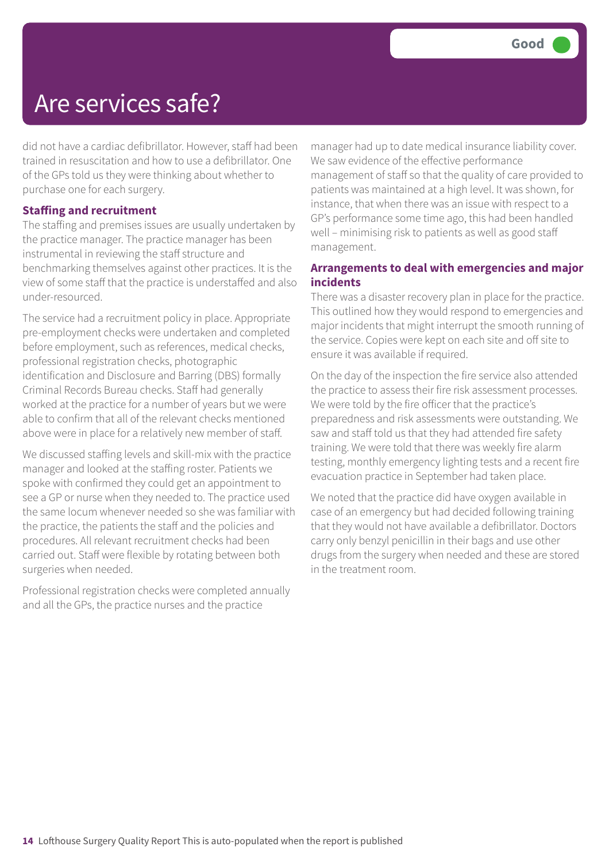did not have a cardiac defibrillator. However, staff had been trained in resuscitation and how to use a defibrillator. One of the GPs told us they were thinking about whether to purchase one for each surgery.

#### **Staffing and recruitment**

The staffing and premises issues are usually undertaken by the practice manager. The practice manager has been instrumental in reviewing the staff structure and benchmarking themselves against other practices. It is the view of some staff that the practice is understaffed and also under-resourced.

The service had a recruitment policy in place. Appropriate pre-employment checks were undertaken and completed before employment, such as references, medical checks, professional registration checks, photographic identification and Disclosure and Barring (DBS) formally Criminal Records Bureau checks. Staff had generally worked at the practice for a number of years but we were able to confirm that all of the relevant checks mentioned above were in place for a relatively new member of staff.

We discussed staffing levels and skill-mix with the practice manager and looked at the staffing roster. Patients we spoke with confirmed they could get an appointment to see a GP or nurse when they needed to. The practice used the same locum whenever needed so she was familiar with the practice, the patients the staff and the policies and procedures. All relevant recruitment checks had been carried out. Staff were flexible by rotating between both surgeries when needed.

Professional registration checks were completed annually and all the GPs, the practice nurses and the practice

manager had up to date medical insurance liability cover. We saw evidence of the effective performance management of staff so that the quality of care provided to patients was maintained at a high level. It was shown, for instance, that when there was an issue with respect to a GP's performance some time ago, this had been handled well – minimising risk to patients as well as good staff management.

#### **Arrangements to deal with emergencies and major incidents**

There was a disaster recovery plan in place for the practice. This outlined how they would respond to emergencies and major incidents that might interrupt the smooth running of the service. Copies were kept on each site and off site to ensure it was available if required.

On the day of the inspection the fire service also attended the practice to assess their fire risk assessment processes. We were told by the fire officer that the practice's preparedness and risk assessments were outstanding. We saw and staff told us that they had attended fire safety training. We were told that there was weekly fire alarm testing, monthly emergency lighting tests and a recent fire evacuation practice in September had taken place.

We noted that the practice did have oxygen available in case of an emergency but had decided following training that they would not have available a defibrillator. Doctors carry only benzyl penicillin in their bags and use other drugs from the surgery when needed and these are stored in the treatment room.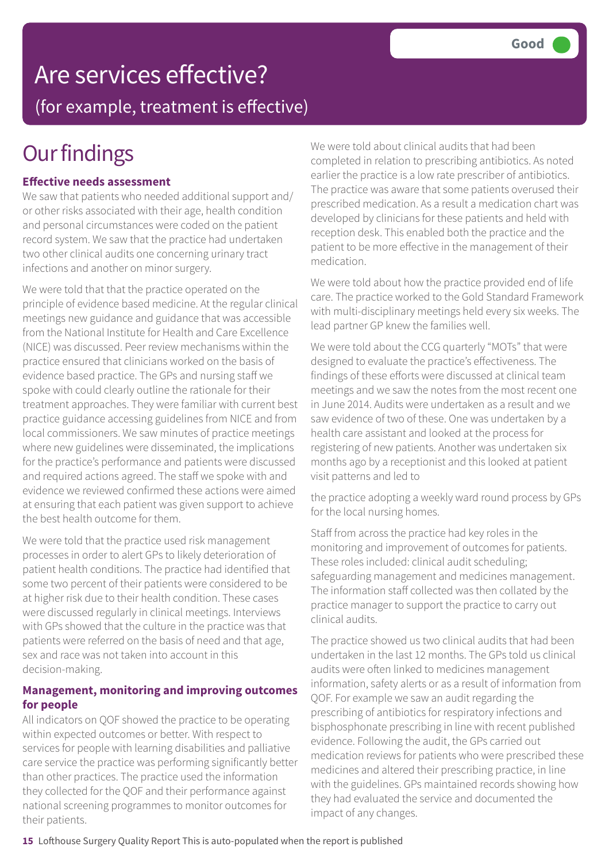# Are services effective?

(for example, treatment is effective)

## **Our findings**

#### **Effective needs assessment**

We saw that patients who needed additional support and/ or other risks associated with their age, health condition and personal circumstances were coded on the patient record system. We saw that the practice had undertaken two other clinical audits one concerning urinary tract infections and another on minor surgery.

We were told that that the practice operated on the principle of evidence based medicine. At the regular clinical meetings new guidance and guidance that was accessible from the National Institute for Health and Care Excellence (NICE) was discussed. Peer review mechanisms within the practice ensured that clinicians worked on the basis of evidence based practice. The GPs and nursing staff we spoke with could clearly outline the rationale for their treatment approaches. They were familiar with current best practice guidance accessing guidelines from NICE and from local commissioners. We saw minutes of practice meetings where new guidelines were disseminated, the implications for the practice's performance and patients were discussed and required actions agreed. The staff we spoke with and evidence we reviewed confirmed these actions were aimed at ensuring that each patient was given support to achieve the best health outcome for them.

We were told that the practice used risk management processes in order to alert GPs to likely deterioration of patient health conditions. The practice had identified that some two percent of their patients were considered to be at higher risk due to their health condition. These cases were discussed regularly in clinical meetings. Interviews with GPs showed that the culture in the practice was that patients were referred on the basis of need and that age, sex and race was not taken into account in this decision-making.

#### **Management, monitoring and improving outcomes for people**

All indicators on QOF showed the practice to be operating within expected outcomes or better. With respect to services for people with learning disabilities and palliative care service the practice was performing significantly better than other practices. The practice used the information they collected for the QOF and their performance against national screening programmes to monitor outcomes for their patients.

We were told about clinical audits that had been completed in relation to prescribing antibiotics. As noted earlier the practice is a low rate prescriber of antibiotics. The practice was aware that some patients overused their prescribed medication. As a result a medication chart was developed by clinicians for these patients and held with reception desk. This enabled both the practice and the patient to be more effective in the management of their medication.

We were told about how the practice provided end of life care. The practice worked to the Gold Standard Framework with multi-disciplinary meetings held every six weeks. The lead partner GP knew the families well.

We were told about the CCG quarterly "MOTs" that were designed to evaluate the practice's effectiveness. The findings of these efforts were discussed at clinical team meetings and we saw the notes from the most recent one in June 2014. Audits were undertaken as a result and we saw evidence of two of these. One was undertaken by a health care assistant and looked at the process for registering of new patients. Another was undertaken six months ago by a receptionist and this looked at patient visit patterns and led to

the practice adopting a weekly ward round process by GPs for the local nursing homes.

Staff from across the practice had key roles in the monitoring and improvement of outcomes for patients. These roles included: clinical audit scheduling; safeguarding management and medicines management. The information staff collected was then collated by the practice manager to support the practice to carry out clinical audits.

The practice showed us two clinical audits that had been undertaken in the last 12 months. The GPs told us clinical audits were often linked to medicines management information, safety alerts or as a result of information from QOF. For example we saw an audit regarding the prescribing of antibiotics for respiratory infections and bisphosphonate prescribing in line with recent published evidence. Following the audit, the GPs carried out medication reviews for patients who were prescribed these medicines and altered their prescribing practice, in line with the guidelines. GPs maintained records showing how they had evaluated the service and documented the impact of any changes.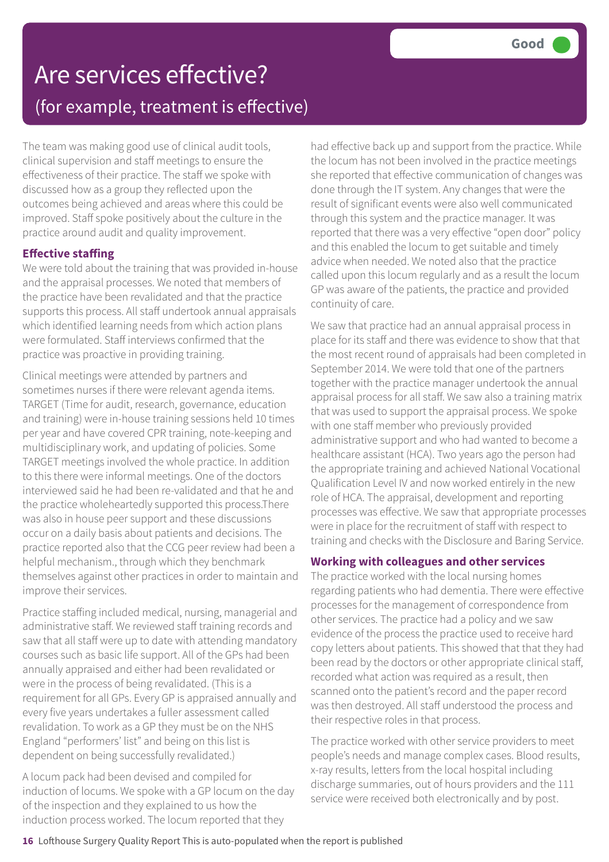### Are services effective? (for example, treatment is effective)

The team was making good use of clinical audit tools, clinical supervision and staff meetings to ensure the effectiveness of their practice. The staff we spoke with discussed how as a group they reflected upon the outcomes being achieved and areas where this could be improved. Staff spoke positively about the culture in the practice around audit and quality improvement.

#### **Effective staffing**

We were told about the training that was provided in-house and the appraisal processes. We noted that members of the practice have been revalidated and that the practice supports this process. All staff undertook annual appraisals which identified learning needs from which action plans were formulated. Staff interviews confirmed that the practice was proactive in providing training.

Clinical meetings were attended by partners and sometimes nurses if there were relevant agenda items. TARGET (Time for audit, research, governance, education and training) were in-house training sessions held 10 times per year and have covered CPR training, note-keeping and multidisciplinary work, and updating of policies. Some TARGET meetings involved the whole practice. In addition to this there were informal meetings. One of the doctors interviewed said he had been re-validated and that he and the practice wholeheartedly supported this process.There was also in house peer support and these discussions occur on a daily basis about patients and decisions. The practice reported also that the CCG peer review had been a helpful mechanism., through which they benchmark themselves against other practices in order to maintain and improve their services.

Practice staffing included medical, nursing, managerial and administrative staff. We reviewed staff training records and saw that all staff were up to date with attending mandatory courses such as basic life support. All of the GPs had been annually appraised and either had been revalidated or were in the process of being revalidated. (This is a requirement for all GPs. Every GP is appraised annually and every five years undertakes a fuller assessment called revalidation. To work as a GP they must be on the NHS England "performers' list" and being on this list is dependent on being successfully revalidated.)

A locum pack had been devised and compiled for induction of locums. We spoke with a GP locum on the day of the inspection and they explained to us how the induction process worked. The locum reported that they

had effective back up and support from the practice. While the locum has not been involved in the practice meetings she reported that effective communication of changes was done through the IT system. Any changes that were the result of significant events were also well communicated through this system and the practice manager. It was reported that there was a very effective "open door" policy and this enabled the locum to get suitable and timely advice when needed. We noted also that the practice called upon this locum regularly and as a result the locum GP was aware of the patients, the practice and provided continuity of care.

We saw that practice had an annual appraisal process in place for its staff and there was evidence to show that that the most recent round of appraisals had been completed in September 2014. We were told that one of the partners together with the practice manager undertook the annual appraisal process for all staff. We saw also a training matrix that was used to support the appraisal process. We spoke with one staff member who previously provided administrative support and who had wanted to become a healthcare assistant (HCA). Two years ago the person had the appropriate training and achieved National Vocational Qualification Level IV and now worked entirely in the new role of HCA. The appraisal, development and reporting processes was effective. We saw that appropriate processes were in place for the recruitment of staff with respect to training and checks with the Disclosure and Baring Service.

#### **Working with colleagues and other services**

The practice worked with the local nursing homes regarding patients who had dementia. There were effective processes for the management of correspondence from other services. The practice had a policy and we saw evidence of the process the practice used to receive hard copy letters about patients. This showed that that they had been read by the doctors or other appropriate clinical staff, recorded what action was required as a result, then scanned onto the patient's record and the paper record was then destroyed. All staff understood the process and their respective roles in that process.

The practice worked with other service providers to meet people's needs and manage complex cases. Blood results, x-ray results, letters from the local hospital including discharge summaries, out of hours providers and the 111 service were received both electronically and by post.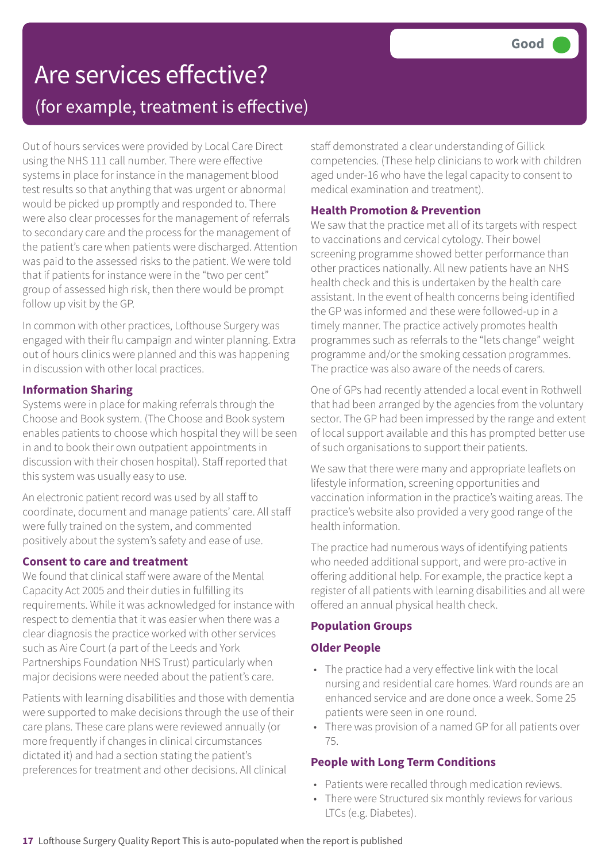### Are services effective? (for example, treatment is effective)

Out of hours services were provided by Local Care Direct using the NHS 111 call number. There were effective systems in place for instance in the management blood test results so that anything that was urgent or abnormal would be picked up promptly and responded to. There were also clear processes for the management of referrals to secondary care and the process for the management of the patient's care when patients were discharged. Attention was paid to the assessed risks to the patient. We were told that if patients for instance were in the "two per cent" group of assessed high risk, then there would be prompt follow up visit by the GP.

In common with other practices, Lofthouse Surgery was engaged with their flu campaign and winter planning. Extra out of hours clinics were planned and this was happening in discussion with other local practices.

#### **Information Sharing**

Systems were in place for making referrals through the Choose and Book system. (The Choose and Book system enables patients to choose which hospital they will be seen in and to book their own outpatient appointments in discussion with their chosen hospital). Staff reported that this system was usually easy to use.

An electronic patient record was used by all staff to coordinate, document and manage patients' care. All staff were fully trained on the system, and commented positively about the system's safety and ease of use.

#### **Consent to care and treatment**

We found that clinical staff were aware of the Mental Capacity Act 2005 and their duties in fulfilling its requirements. While it was acknowledged for instance with respect to dementia that it was easier when there was a clear diagnosis the practice worked with other services such as Aire Court (a part of the Leeds and York Partnerships Foundation NHS Trust) particularly when major decisions were needed about the patient's care.

Patients with learning disabilities and those with dementia were supported to make decisions through the use of their care plans. These care plans were reviewed annually (or more frequently if changes in clinical circumstances dictated it) and had a section stating the patient's preferences for treatment and other decisions. All clinical

staff demonstrated a clear understanding of Gillick competencies. (These help clinicians to work with children aged under-16 who have the legal capacity to consent to medical examination and treatment).

#### **Health Promotion & Prevention**

We saw that the practice met all of its targets with respect to vaccinations and cervical cytology. Their bowel screening programme showed better performance than other practices nationally. All new patients have an NHS health check and this is undertaken by the health care assistant. In the event of health concerns being identified the GP was informed and these were followed-up in a timely manner. The practice actively promotes health programmes such as referrals to the "lets change" weight programme and/or the smoking cessation programmes. The practice was also aware of the needs of carers.

One of GPs had recently attended a local event in Rothwell that had been arranged by the agencies from the voluntary sector. The GP had been impressed by the range and extent of local support available and this has prompted better use of such organisations to support their patients.

We saw that there were many and appropriate leaflets on lifestyle information, screening opportunities and vaccination information in the practice's waiting areas. The practice's website also provided a very good range of the health information.

The practice had numerous ways of identifying patients who needed additional support, and were pro-active in offering additional help. For example, the practice kept a register of all patients with learning disabilities and all were offered an annual physical health check.

#### **Population Groups**

#### **Older People**

- The practice had a very effective link with the local nursing and residential care homes. Ward rounds are an enhanced service and are done once a week. Some 25 patients were seen in one round.
- There was provision of a named GP for all patients over 75.

#### **People with Long Term Conditions**

- Patients were recalled through medication reviews.
- There were Structured six monthly reviews for various LTCs (e.g. Diabetes).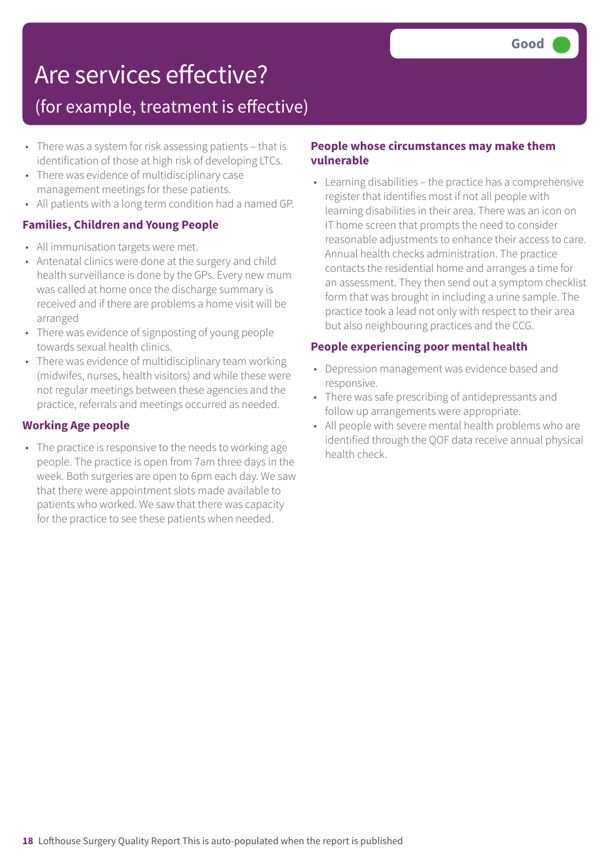### Are services effective?

### (for example, treatment is effective)

- There was a system for risk assessing patients that is identification of those at high risk of developing LTCs.
- There was evidence of multidisciplinary case management meetings for these patients.
- All patients with a long term condition had a named GP.

#### **Families, Children and Young People**

- All immunisation targets were met.
- Antenatal clinics were done at the surgery and child health surveillance is done by the GPs. Every new mum was called at home once the discharge summary is received and if there are problems a home visit will be arranged
- There was evidence of signposting of young people towards sexual health clinics.
- There was evidence of multidisciplinary team working (midwifes, nurses, health visitors) and while these were not regular meetings between these agencies and the practice, referrals and meetings occurred as needed.

#### **Working Age people**

• The practice is responsive to the needs to working age people. The practice is open from 7am three days in the week. Both surgeries are open to 6pm each day. We saw that there were appointment slots made available to patients who worked. We saw that there was capacity for the practice to see these patients when needed.

#### **People whose circumstances may make them vulnerable**

• Learning disabilities – the practice has a comprehensive register that identifies most if not all people with learning disabilities in their area. There was an icon on IT home screen that prompts the need to consider reasonable adjustments to enhance their access to care. Annual health checks administration. The practice contacts the residential home and arranges a time for an assessment. They then send out a symptom checklist form that was brought in including a urine sample. The practice took a lead not only with respect to their area but also neighbouring practices and the CCG.

#### **People experiencing poor mental health**

- Depression management was evidence based and responsive.
- There was safe prescribing of antidepressants and follow up arrangements were appropriate.
- All people with severe mental health problems who are identified through the QOF data receive annual physical health check.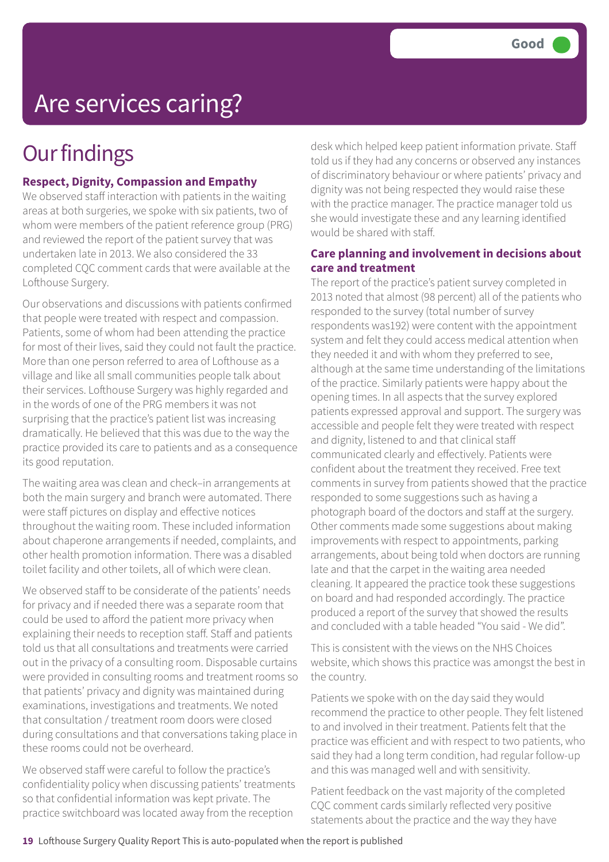# Are services caring?

## **Our findings**

#### **Respect, Dignity, Compassion and Empathy**

We observed staff interaction with patients in the waiting areas at both surgeries, we spoke with six patients, two of whom were members of the patient reference group (PRG) and reviewed the report of the patient survey that was undertaken late in 2013. We also considered the 33 completed CQC comment cards that were available at the Lofthouse Surgery.

Our observations and discussions with patients confirmed that people were treated with respect and compassion. Patients, some of whom had been attending the practice for most of their lives, said they could not fault the practice. More than one person referred to area of Lofthouse as a village and like all small communities people talk about their services. Lofthouse Surgery was highly regarded and in the words of one of the PRG members it was not surprising that the practice's patient list was increasing dramatically. He believed that this was due to the way the practice provided its care to patients and as a consequence its good reputation.

The waiting area was clean and check–in arrangements at both the main surgery and branch were automated. There were staff pictures on display and effective notices throughout the waiting room. These included information about chaperone arrangements if needed, complaints, and other health promotion information. There was a disabled toilet facility and other toilets, all of which were clean.

We observed staff to be considerate of the patients' needs for privacy and if needed there was a separate room that could be used to afford the patient more privacy when explaining their needs to reception staff. Staff and patients told us that all consultations and treatments were carried out in the privacy of a consulting room. Disposable curtains were provided in consulting rooms and treatment rooms so that patients' privacy and dignity was maintained during examinations, investigations and treatments. We noted that consultation / treatment room doors were closed during consultations and that conversations taking place in these rooms could not be overheard.

We observed staff were careful to follow the practice's confidentiality policy when discussing patients' treatments so that confidential information was kept private. The practice switchboard was located away from the reception

desk which helped keep patient information private. Staff told us if they had any concerns or observed any instances of discriminatory behaviour or where patients' privacy and dignity was not being respected they would raise these with the practice manager. The practice manager told us she would investigate these and any learning identified would be shared with staff.

#### **Care planning and involvement in decisions about care and treatment**

The report of the practice's patient survey completed in 2013 noted that almost (98 percent) all of the patients who responded to the survey (total number of survey respondents was192) were content with the appointment system and felt they could access medical attention when they needed it and with whom they preferred to see, although at the same time understanding of the limitations of the practice. Similarly patients were happy about the opening times. In all aspects that the survey explored patients expressed approval and support. The surgery was accessible and people felt they were treated with respect and dignity, listened to and that clinical staff communicated clearly and effectively. Patients were confident about the treatment they received. Free text comments in survey from patients showed that the practice responded to some suggestions such as having a photograph board of the doctors and staff at the surgery. Other comments made some suggestions about making improvements with respect to appointments, parking arrangements, about being told when doctors are running late and that the carpet in the waiting area needed cleaning. It appeared the practice took these suggestions on board and had responded accordingly. The practice produced a report of the survey that showed the results and concluded with a table headed "You said - We did".

This is consistent with the views on the NHS Choices website, which shows this practice was amongst the best in the country.

Patients we spoke with on the day said they would recommend the practice to other people. They felt listened to and involved in their treatment. Patients felt that the practice was efficient and with respect to two patients, who said they had a long term condition, had regular follow-up and this was managed well and with sensitivity.

Patient feedback on the vast majority of the completed CQC comment cards similarly reflected very positive statements about the practice and the way they have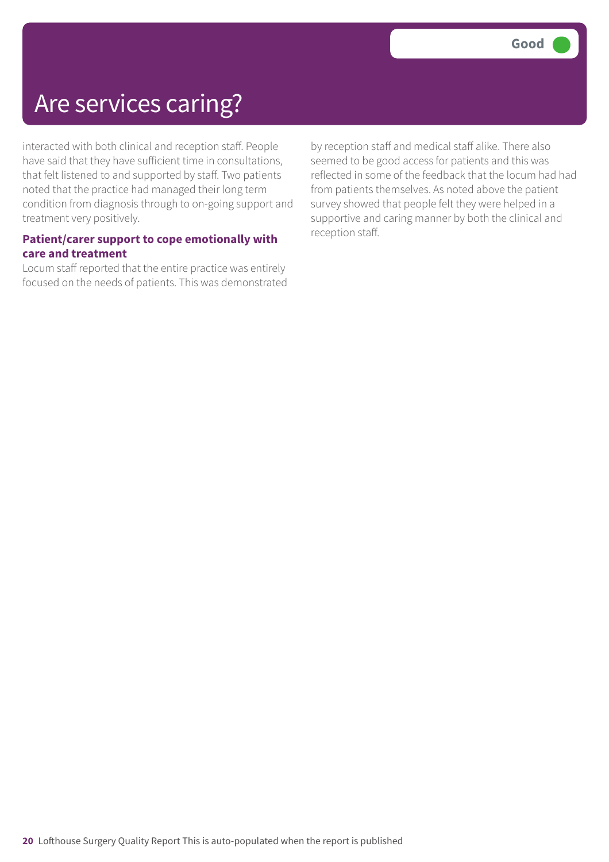### Are services caring?

interacted with both clinical and reception staff. People have said that they have sufficient time in consultations, that felt listened to and supported by staff. Two patients noted that the practice had managed their long term condition from diagnosis through to on-going support and treatment very positively.

#### **Patient/carer support to cope emotionally with care and treatment**

Locum staff reported that the entire practice was entirely focused on the needs of patients. This was demonstrated by reception staff and medical staff alike. There also seemed to be good access for patients and this was reflected in some of the feedback that the locum had had from patients themselves. As noted above the patient survey showed that people felt they were helped in a supportive and caring manner by both the clinical and reception staff.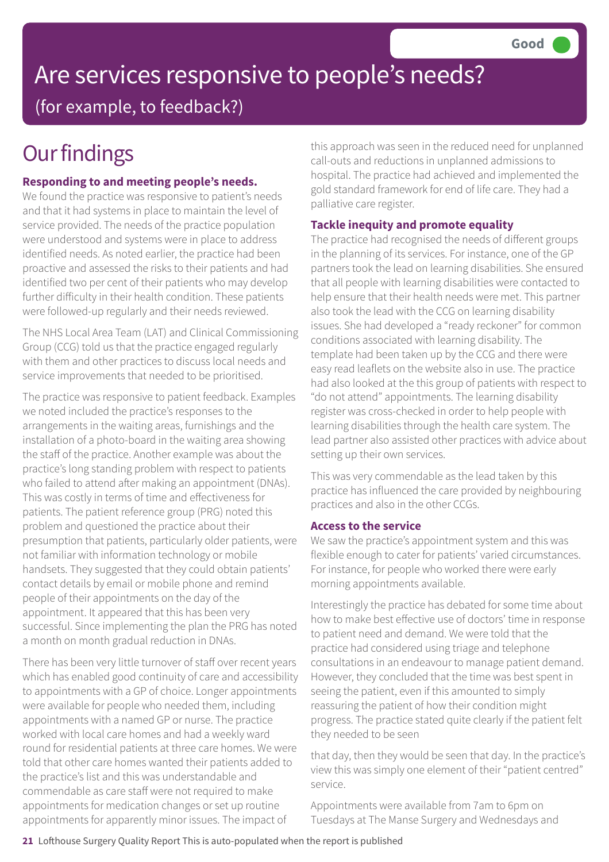# Are services responsive to people's needs?

(for example, to feedback?)

# **Our findings**

#### **Responding to and meeting people's needs.**

We found the practice was responsive to patient's needs and that it had systems in place to maintain the level of service provided. The needs of the practice population were understood and systems were in place to address identified needs. As noted earlier, the practice had been proactive and assessed the risks to their patients and had identified two per cent of their patients who may develop further difficulty in their health condition. These patients were followed-up regularly and their needs reviewed.

The NHS Local Area Team (LAT) and Clinical Commissioning Group (CCG) told us that the practice engaged regularly with them and other practices to discuss local needs and service improvements that needed to be prioritised.

The practice was responsive to patient feedback. Examples we noted included the practice's responses to the arrangements in the waiting areas, furnishings and the installation of a photo-board in the waiting area showing the staff of the practice. Another example was about the practice's long standing problem with respect to patients who failed to attend after making an appointment (DNAs). This was costly in terms of time and effectiveness for patients. The patient reference group (PRG) noted this problem and questioned the practice about their presumption that patients, particularly older patients, were not familiar with information technology or mobile handsets. They suggested that they could obtain patients' contact details by email or mobile phone and remind people of their appointments on the day of the appointment. It appeared that this has been very successful. Since implementing the plan the PRG has noted a month on month gradual reduction in DNAs.

There has been very little turnover of staff over recent years which has enabled good continuity of care and accessibility to appointments with a GP of choice. Longer appointments were available for people who needed them, including appointments with a named GP or nurse. The practice worked with local care homes and had a weekly ward round for residential patients at three care homes. We were told that other care homes wanted their patients added to the practice's list and this was understandable and commendable as care staff were not required to make appointments for medication changes or set up routine appointments for apparently minor issues. The impact of

this approach was seen in the reduced need for unplanned call-outs and reductions in unplanned admissions to hospital. The practice had achieved and implemented the gold standard framework for end of life care. They had a palliative care register.

#### **Tackle inequity and promote equality**

The practice had recognised the needs of different groups in the planning of its services. For instance, one of the GP partners took the lead on learning disabilities. She ensured that all people with learning disabilities were contacted to help ensure that their health needs were met. This partner also took the lead with the CCG on learning disability issues. She had developed a "ready reckoner" for common conditions associated with learning disability. The template had been taken up by the CCG and there were easy read leaflets on the website also in use. The practice had also looked at the this group of patients with respect to "do not attend" appointments. The learning disability register was cross-checked in order to help people with learning disabilities through the health care system. The lead partner also assisted other practices with advice about setting up their own services.

This was very commendable as the lead taken by this practice has influenced the care provided by neighbouring practices and also in the other CCGs.

#### **Access to the service**

We saw the practice's appointment system and this was flexible enough to cater for patients' varied circumstances. For instance, for people who worked there were early morning appointments available.

Interestingly the practice has debated for some time about how to make best effective use of doctors' time in response to patient need and demand. We were told that the practice had considered using triage and telephone consultations in an endeavour to manage patient demand. However, they concluded that the time was best spent in seeing the patient, even if this amounted to simply reassuring the patient of how their condition might progress. The practice stated quite clearly if the patient felt they needed to be seen

that day, then they would be seen that day. In the practice's view this was simply one element of their "patient centred" service.

Appointments were available from 7am to 6pm on Tuesdays at The Manse Surgery and Wednesdays and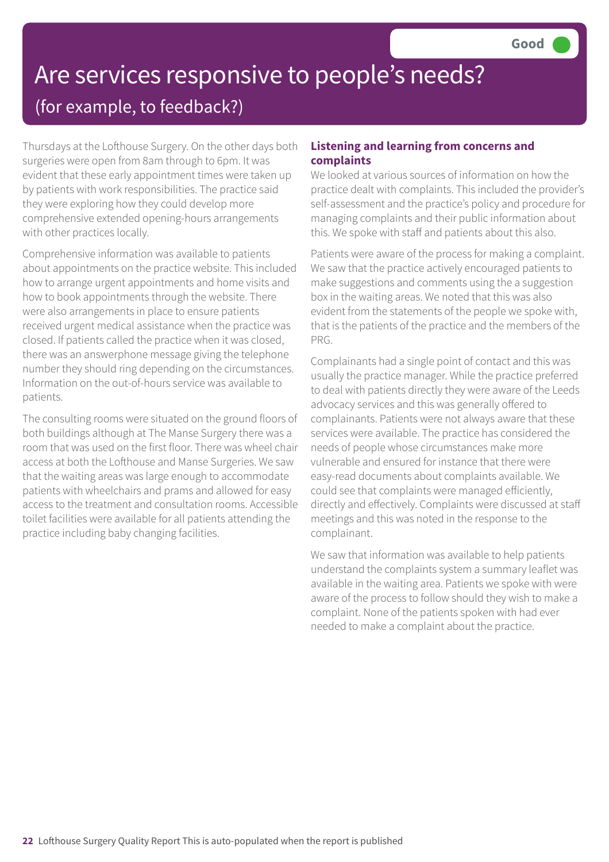# Are services responsive to people's needs?

(for example, to feedback?)

Thursdays at the Lofthouse Surgery. On the other days both surgeries were open from 8am through to 6pm. It was evident that these early appointment times were taken up by patients with work responsibilities. The practice said they were exploring how they could develop more comprehensive extended opening-hours arrangements with other practices locally.

Comprehensive information was available to patients about appointments on the practice website. This included how to arrange urgent appointments and home visits and how to book appointments through the website. There were also arrangements in place to ensure patients received urgent medical assistance when the practice was closed. If patients called the practice when it was closed, there was an answerphone message giving the telephone number they should ring depending on the circumstances. Information on the out-of-hours service was available to patients.

The consulting rooms were situated on the ground floors of both buildings although at The Manse Surgery there was a room that was used on the first floor. There was wheel chair access at both the Lofthouse and Manse Surgeries. We saw that the waiting areas was large enough to accommodate patients with wheelchairs and prams and allowed for easy access to the treatment and consultation rooms. Accessible toilet facilities were available for all patients attending the practice including baby changing facilities.

#### **Listening and learning from concerns and complaints**

We looked at various sources of information on how the practice dealt with complaints. This included the provider's self-assessment and the practice's policy and procedure for managing complaints and their public information about this. We spoke with staff and patients about this also.

Patients were aware of the process for making a complaint. We saw that the practice actively encouraged patients to make suggestions and comments using the a suggestion box in the waiting areas. We noted that this was also evident from the statements of the people we spoke with, that is the patients of the practice and the members of the PRG.

Complainants had a single point of contact and this was usually the practice manager. While the practice preferred to deal with patients directly they were aware of the Leeds advocacy services and this was generally offered to complainants. Patients were not always aware that these services were available. The practice has considered the needs of people whose circumstances make more vulnerable and ensured for instance that there were easy-read documents about complaints available. We could see that complaints were managed efficiently, directly and effectively. Complaints were discussed at staff meetings and this was noted in the response to the complainant.

We saw that information was available to help patients understand the complaints system a summary leaflet was available in the waiting area. Patients we spoke with were aware of the process to follow should they wish to make a complaint. None of the patients spoken with had ever needed to make a complaint about the practice.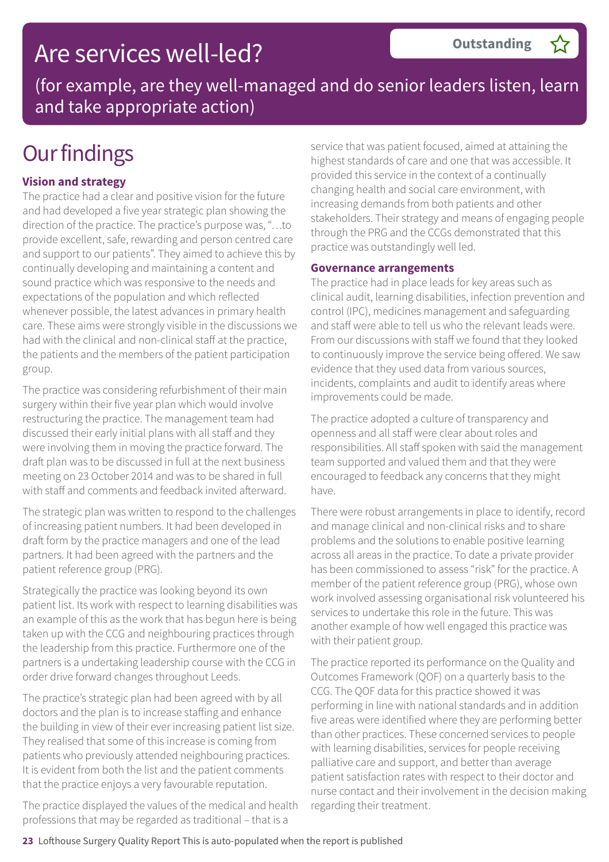### Are services well-led?

(for example, are they well-managed and do senior leaders listen, learn and take appropriate action)

### **Our findings**

#### **Vision and strategy**

The practice had a clear and positive vision for the future and had developed a five year strategic plan showing the direction of the practice. The practice's purpose was, "…to provide excellent, safe, rewarding and person centred care and support to our patients". They aimed to achieve this by continually developing and maintaining a content and sound practice which was responsive to the needs and expectations of the population and which reflected whenever possible, the latest advances in primary health care. These aims were strongly visible in the discussions we had with the clinical and non-clinical staff at the practice, the patients and the members of the patient participation group.

The practice was considering refurbishment of their main surgery within their five year plan which would involve restructuring the practice. The management team had discussed their early initial plans with all staff and they were involving them in moving the practice forward. The draft plan was to be discussed in full at the next business meeting on 23 October 2014 and was to be shared in full with staff and comments and feedback invited afterward.

The strategic plan was written to respond to the challenges of increasing patient numbers. It had been developed in draft form by the practice managers and one of the lead partners. It had been agreed with the partners and the patient reference group (PRG).

Strategically the practice was looking beyond its own patient list. Its work with respect to learning disabilities was an example of this as the work that has begun here is being taken up with the CCG and neighbouring practices through the leadership from this practice. Furthermore one of the partners is a undertaking leadership course with the CCG in order drive forward changes throughout Leeds.

The practice's strategic plan had been agreed with by all doctors and the plan is to increase staffing and enhance the building in view of their ever increasing patient list size. They realised that some of this increase is coming from patients who previously attended neighbouring practices. It is evident from both the list and the patient comments that the practice enjoys a very favourable reputation.

The practice displayed the values of the medical and health professions that may be regarded as traditional – that is a

service that was patient focused, aimed at attaining the highest standards of care and one that was accessible. It provided this service in the context of a continually changing health and social care environment, with increasing demands from both patients and other stakeholders. Their strategy and means of engaging people through the PRG and the CCGs demonstrated that this practice was outstandingly well led.

#### **Governance arrangements**

The practice had in place leads for key areas such as clinical audit, learning disabilities, infection prevention and control (IPC), medicines management and safeguarding and staff were able to tell us who the relevant leads were. From our discussions with staff we found that they looked to continuously improve the service being offered. We saw evidence that they used data from various sources, incidents, complaints and audit to identify areas where improvements could be made.

The practice adopted a culture of transparency and openness and all staff were clear about roles and responsibilities. All staff spoken with said the management team supported and valued them and that they were encouraged to feedback any concerns that they might have.

There were robust arrangements in place to identify, record and manage clinical and non-clinical risks and to share problems and the solutions to enable positive learning across all areas in the practice. To date a private provider has been commissioned to assess "risk" for the practice. A member of the patient reference group (PRG), whose own work involved assessing organisational risk volunteered his services to undertake this role in the future. This was another example of how well engaged this practice was with their patient group.

The practice reported its performance on the Quality and Outcomes Framework (QOF) on a quarterly basis to the CCG. The QOF data for this practice showed it was performing in line with national standards and in addition five areas were identified where they are performing better than other practices. These concerned services to people with learning disabilities, services for people receiving palliative care and support, and better than average patient satisfaction rates with respect to their doctor and nurse contact and their involvement in the decision making regarding their treatment.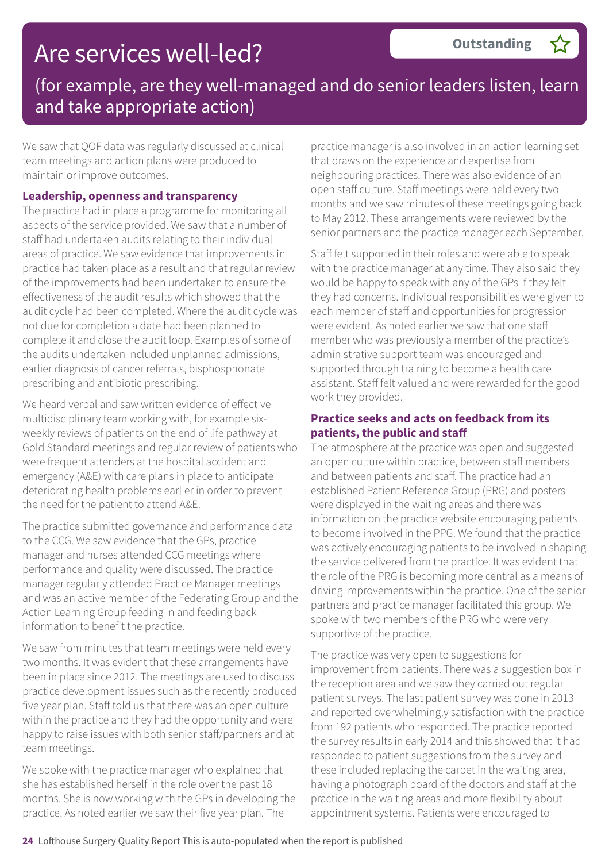### Are services well-led?

### (for example, are they well-managed and do senior leaders listen, learn and take appropriate action)

We saw that QOF data was regularly discussed at clinical team meetings and action plans were produced to maintain or improve outcomes.

#### **Leadership, openness and transparency**

The practice had in place a programme for monitoring all aspects of the service provided. We saw that a number of staff had undertaken audits relating to their individual areas of practice. We saw evidence that improvements in practice had taken place as a result and that regular review of the improvements had been undertaken to ensure the effectiveness of the audit results which showed that the audit cycle had been completed. Where the audit cycle was not due for completion a date had been planned to complete it and close the audit loop. Examples of some of the audits undertaken included unplanned admissions, earlier diagnosis of cancer referrals, bisphosphonate prescribing and antibiotic prescribing.

We heard verbal and saw written evidence of effective multidisciplinary team working with, for example sixweekly reviews of patients on the end of life pathway at Gold Standard meetings and regular review of patients who were frequent attenders at the hospital accident and emergency (A&E) with care plans in place to anticipate deteriorating health problems earlier in order to prevent the need for the patient to attend A&E.

The practice submitted governance and performance data to the CCG. We saw evidence that the GPs, practice manager and nurses attended CCG meetings where performance and quality were discussed. The practice manager regularly attended Practice Manager meetings and was an active member of the Federating Group and the Action Learning Group feeding in and feeding back information to benefit the practice.

We saw from minutes that team meetings were held every two months. It was evident that these arrangements have been in place since 2012. The meetings are used to discuss practice development issues such as the recently produced five year plan. Staff told us that there was an open culture within the practice and they had the opportunity and were happy to raise issues with both senior staff/partners and at team meetings.

We spoke with the practice manager who explained that she has established herself in the role over the past 18 months. She is now working with the GPs in developing the practice. As noted earlier we saw their five year plan. The

practice manager is also involved in an action learning set that draws on the experience and expertise from neighbouring practices. There was also evidence of an open staff culture. Staff meetings were held every two months and we saw minutes of these meetings going back to May 2012. These arrangements were reviewed by the senior partners and the practice manager each September.

Staff felt supported in their roles and were able to speak with the practice manager at any time. They also said they would be happy to speak with any of the GPs if they felt they had concerns. Individual responsibilities were given to each member of staff and opportunities for progression were evident. As noted earlier we saw that one staff member who was previously a member of the practice's administrative support team was encouraged and supported through training to become a health care assistant. Staff felt valued and were rewarded for the good work they provided.

#### **Practice seeks and acts on feedback from its patients, the public and staff**

The atmosphere at the practice was open and suggested an open culture within practice, between staff members and between patients and staff. The practice had an established Patient Reference Group (PRG) and posters were displayed in the waiting areas and there was information on the practice website encouraging patients to become involved in the PPG. We found that the practice was actively encouraging patients to be involved in shaping the service delivered from the practice. It was evident that the role of the PRG is becoming more central as a means of driving improvements within the practice. One of the senior partners and practice manager facilitated this group. We spoke with two members of the PRG who were very supportive of the practice.

The practice was very open to suggestions for improvement from patients. There was a suggestion box in the reception area and we saw they carried out regular patient surveys. The last patient survey was done in 2013 and reported overwhelmingly satisfaction with the practice from 192 patients who responded. The practice reported the survey results in early 2014 and this showed that it had responded to patient suggestions from the survey and these included replacing the carpet in the waiting area, having a photograph board of the doctors and staff at the practice in the waiting areas and more flexibility about appointment systems. Patients were encouraged to